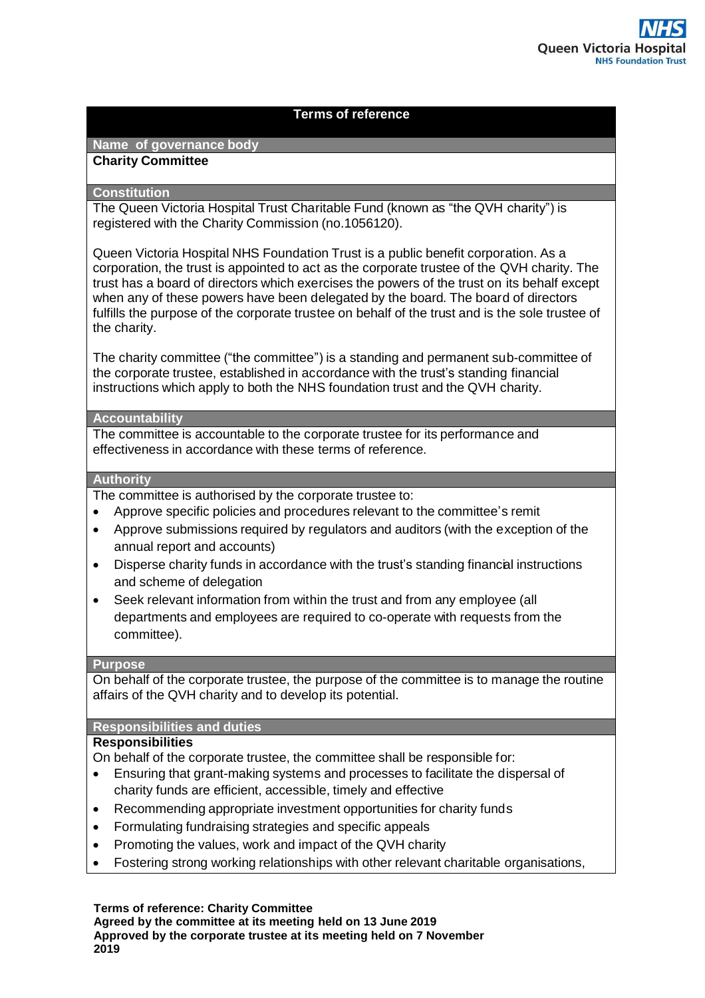# **Terms of reference**

# **Name of governance body**

### **Charity Committee**

### **Constitution**

The Queen Victoria Hospital Trust Charitable Fund (known as "the QVH charity") is registered with the Charity Commission (no.1056120).

Queen Victoria Hospital NHS Foundation Trust is a public benefit corporation. As a corporation, the trust is appointed to act as the corporate trustee of the QVH charity. The trust has a board of directors which exercises the powers of the trust on its behalf except when any of these powers have been delegated by the board. The board of directors fulfills the purpose of the corporate trustee on behalf of the trust and is the sole trustee of the charity.

The charity committee ("the committee") is a standing and permanent sub-committee of the corporate trustee, established in accordance with the trust's standing financial instructions which apply to both the NHS foundation trust and the QVH charity.

### **Accountability**

The committee is accountable to the corporate trustee for its performance and effectiveness in accordance with these terms of reference.

## **Authority**

The committee is authorised by the corporate trustee to:

- Approve specific policies and procedures relevant to the committee's remit
- Approve submissions required by regulators and auditors (with the exception of the annual report and accounts)
- Disperse charity funds in accordance with the trust's standing financial instructions and scheme of delegation
- Seek relevant information from within the trust and from any employee (all departments and employees are required to co-operate with requests from the committee).

### **Purpose**

On behalf of the corporate trustee, the purpose of the committee is to manage the routine affairs of the QVH charity and to develop its potential.

### **Responsibilities and duties**

# **Responsibilities**

On behalf of the corporate trustee, the committee shall be responsible for:

- Ensuring that grant-making systems and processes to facilitate the dispersal of charity funds are efficient, accessible, timely and effective
- Recommending appropriate investment opportunities for charity funds
- Formulating fundraising strategies and specific appeals
- Promoting the values, work and impact of the QVH charity
- Fostering strong working relationships with other relevant charitable organisations,

**Terms of reference: Charity Committee**

**Agreed by the committee at its meeting held on 13 June 2019 Approved by the corporate trustee at its meeting held on 7 November 2019**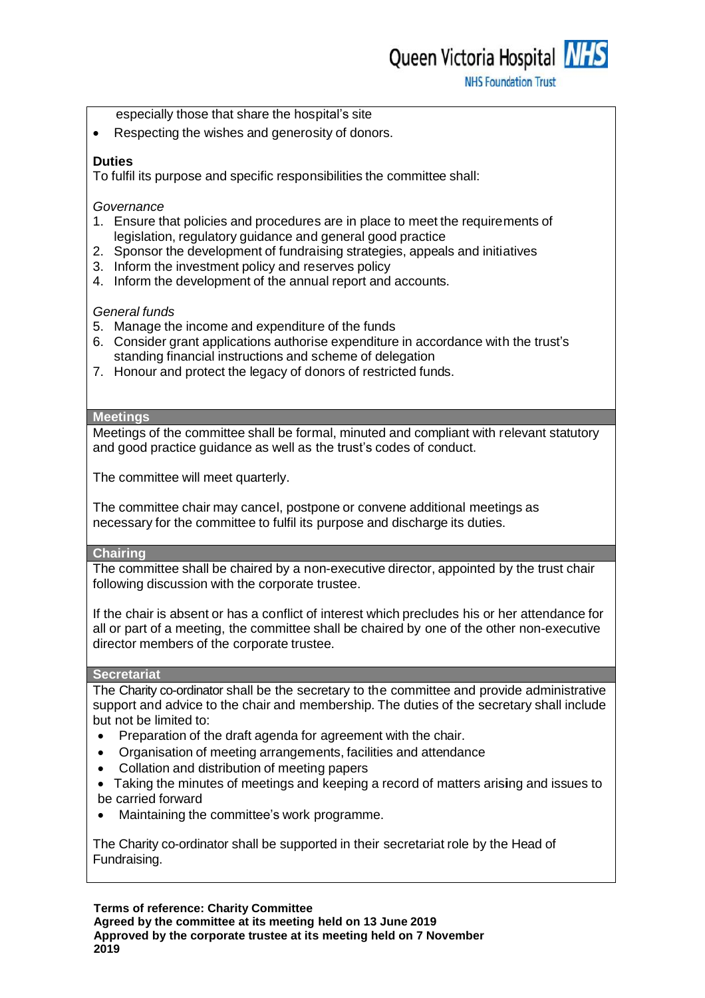Queen Victoria Hospital NHS

**NHS Foundation Trust** 

- especially those that share the hospital's site
- Respecting the wishes and generosity of donors.

# **Duties**

To fulfil its purpose and specific responsibilities the committee shall:

### *Governance*

- 1. Ensure that policies and procedures are in place to meet the requirements of legislation, regulatory guidance and general good practice
- 2. Sponsor the development of fundraising strategies, appeals and initiatives
- 3. Inform the investment policy and reserves policy
- 4. Inform the development of the annual report and accounts.

### *General funds*

- 5. Manage the income and expenditure of the funds
- 6. Consider grant applications authorise expenditure in accordance with the trust's standing financial instructions and scheme of delegation
- 7. Honour and protect the legacy of donors of restricted funds.

### **Meetings**

Meetings of the committee shall be formal, minuted and compliant with relevant statutory and good practice guidance as well as the trust's codes of conduct.

The committee will meet quarterly.

The committee chair may cancel, postpone or convene additional meetings as necessary for the committee to fulfil its purpose and discharge its duties.

### **Chairing**

The committee shall be chaired by a non-executive director, appointed by the trust chair following discussion with the corporate trustee.

If the chair is absent or has a conflict of interest which precludes his or her attendance for all or part of a meeting, the committee shall be chaired by one of the other non-executive director members of the corporate trustee.

### **Secretariat**

The Charity co-ordinator shall be the secretary to the committee and provide administrative support and advice to the chair and membership. The duties of the secretary shall include but not be limited to:

- Preparation of the draft agenda for agreement with the chair.
- Organisation of meeting arrangements, facilities and attendance
- Collation and distribution of meeting papers
- Taking the minutes of meetings and keeping a record of matters arising and issues to be carried forward
- Maintaining the committee's work programme.

The Charity co-ordinator shall be supported in their secretariat role by the Head of Fundraising.

**Terms of reference: Charity Committee**

**Agreed by the committee at its meeting held on 13 June 2019 Approved by the corporate trustee at its meeting held on 7 November 2019**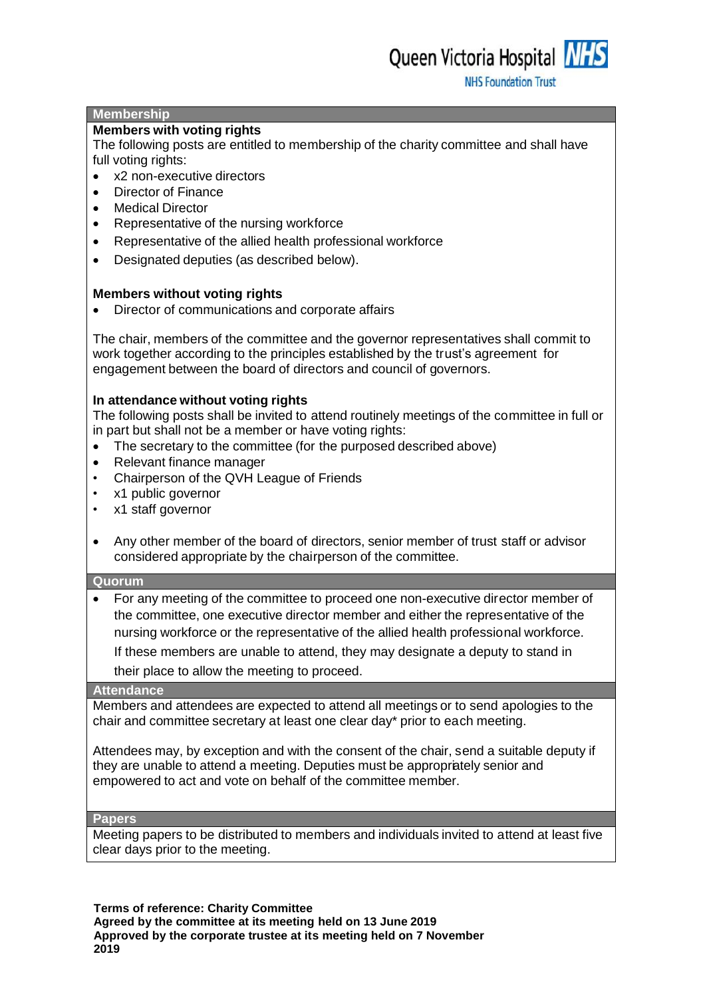### **Membership**

### **Members with voting rights**

The following posts are entitled to membership of the charity committee and shall have full voting rights:

- x2 non-executive directors
- Director of Finance
- Medical Director
- Representative of the nursing workforce
- Representative of the allied health professional workforce
- Designated deputies (as described below).

### **Members without voting rights**

Director of communications and corporate affairs

The chair, members of the committee and the governor representatives shall commit to work together according to the principles established by the trust's agreement for engagement between the board of directors and council of governors.

### **In attendance without voting rights**

The following posts shall be invited to attend routinely meetings of the committee in full or in part but shall not be a member or have voting rights:

- The secretary to the committee (for the purposed described above)
- Relevant finance manager
- Chairperson of the QVH League of Friends
- x1 public governor
- x1 staff governor
- Any other member of the board of directors, senior member of trust staff or advisor considered appropriate by the chairperson of the committee.

### **Quorum**

 For any meeting of the committee to proceed one non-executive director member of the committee, one executive director member and either the representative of the nursing workforce or the representative of the allied health professional workforce. If these members are unable to attend, they may designate a deputy to stand in their place to allow the meeting to proceed.

### **Attendance**

Members and attendees are expected to attend all meetings or to send apologies to the chair and committee secretary at least one clear day\* prior to each meeting.

Attendees may, by exception and with the consent of the chair, send a suitable deputy if they are unable to attend a meeting. Deputies must be appropriately senior and empowered to act and vote on behalf of the committee member.

#### **Papers**

Meeting papers to be distributed to members and individuals invited to attend at least five clear days prior to the meeting.

**Terms of reference: Charity Committee Agreed by the committee at its meeting held on 13 June 2019 Approved by the corporate trustee at its meeting held on 7 November 2019**